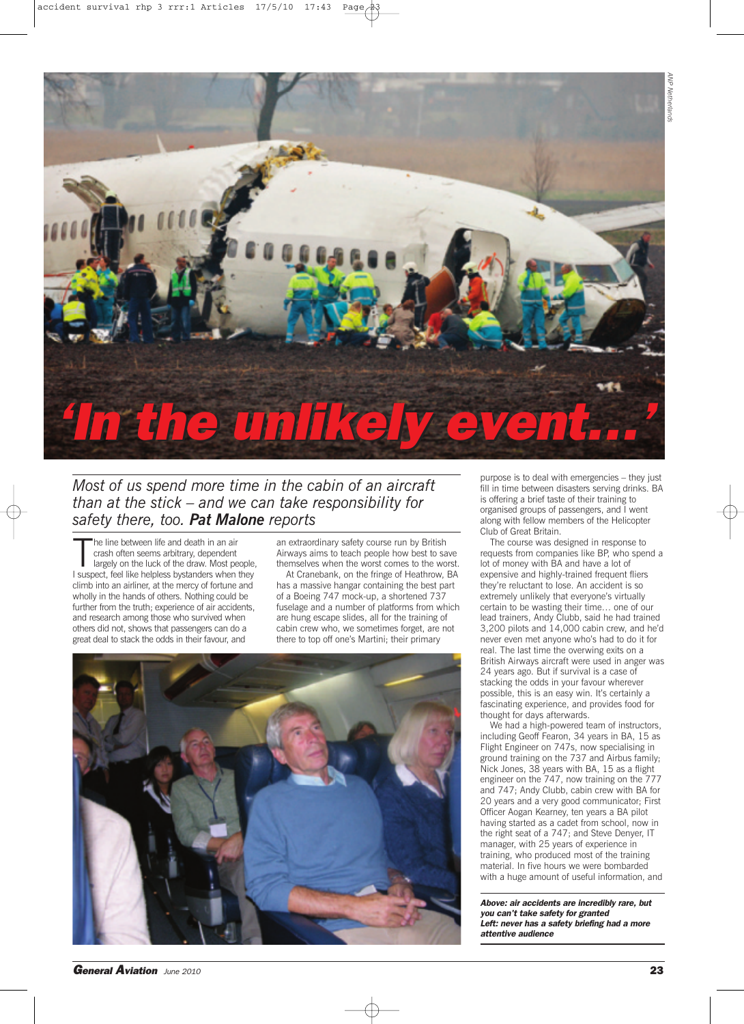

## *Most of us spend more time in the cabin of an aircraft than at the stick – and we can take responsibility for safety there, too. Pat Malone reports*

The line between life and death in an air<br>crash often seems arbitrary, dependent<br>largely on the luck of the draw. Most people<br>l suspect, feel like helpless bystanders when they he line between life and death in an air crash often seems arbitrary, dependent largely on the luck of the draw. Most people, climb into an airliner, at the mercy of fortune and wholly in the hands of others. Nothing could be further from the truth; experience of air accidents, and research among those who survived when others did not, shows that passengers can do a great deal to stack the odds in their favour, and

an extraordinary safety course run by British Airways aims to teach people how best to save themselves when the worst comes to the worst.

At Cranebank, on the fringe of Heathrow, BA has a massive hangar containing the best part of a Boeing 747 mock-up, a shortened 737 fuselage and a number of platforms from which are hung escape slides, all for the training of cabin crew who, we sometimes forget, are not there to top off one's Martini; their primary



purpose is to deal with emergencies – they just fill in time between disasters serving drinks. BA is offering a brief taste of their training to organised groups of passengers, and I went along with fellow members of the Helicopter Club of Great Britain.

The course was designed in response to requests from companies like BP, who spend a lot of money with BA and have a lot of expensive and highly-trained frequent fliers they're reluctant to lose. An accident is so extremely unlikely that everyone's virtually certain to be wasting their time… one of our lead trainers, Andy Clubb, said he had trained 3,200 pilots and 14,000 cabin crew, and he'd never even met anyone who's had to do it for real. The last time the overwing exits on a British Airways aircraft were used in anger was 24 years ago. But if survival is a case of stacking the odds in your favour wherever possible, this is an easy win. It's certainly a fascinating experience, and provides food for thought for days afterwards.

We had a high-powered team of instructors, including Geoff Fearon, 34 years in BA, 15 as Flight Engineer on 747s, now specialising in ground training on the 737 and Airbus family; Nick Jones, 38 years with BA, 15 as a flight engineer on the 747, now training on the 777 and 747; Andy Clubb, cabin crew with BA for 20 years and a very good communicator; First Officer Aogan Kearney, ten years a BA pilot having started as a cadet from school, now in the right seat of a 747; and Steve Denyer, IT manager, with 25 years of experience in training, who produced most of the training material. In five hours we were bombarded with a huge amount of useful information, and

*Above: air accidents are incredibly rare, but you can't take safety for granted Left: never has a safety briefing had a more attentive audience*

*General Aviation June <sup>2010</sup>* **23**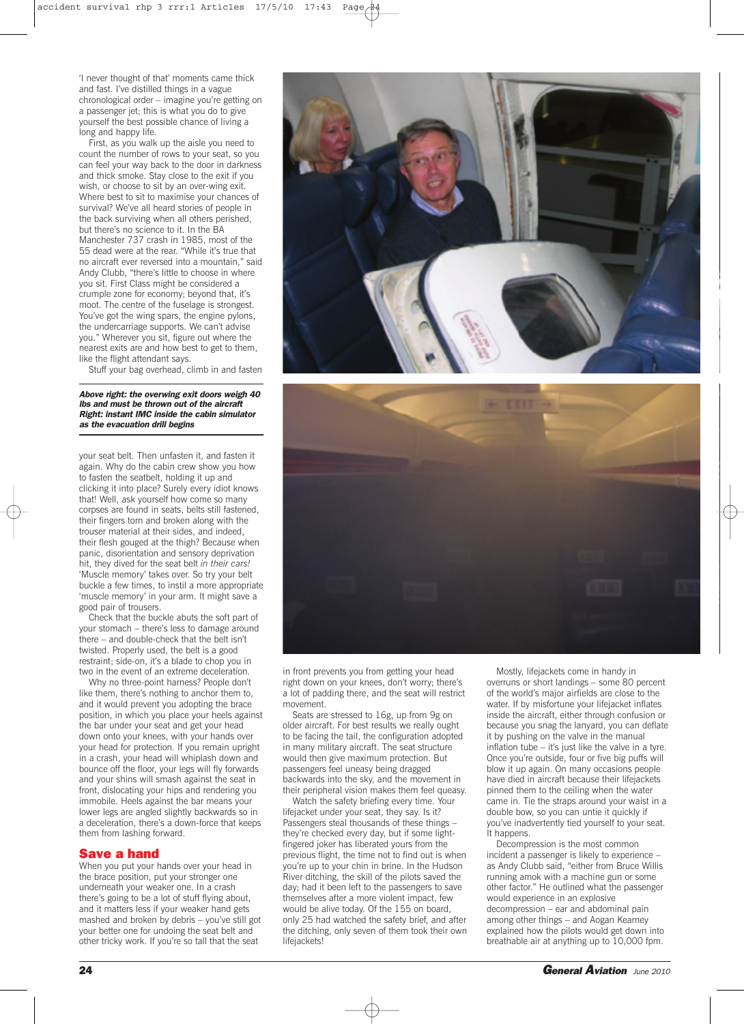'I never thought of that' moments came thick and fast. I've distilled things in a vague chronological order – imagine you're getting on a passenger jet; this is what you do to give yourself the best possible chance of living a long and happy life.

First, as you walk up the aisle you need to count the number of rows to your seat, so you can feel your way back to the door in darkness and thick smoke. Stay close to the exit if you wish, or choose to sit by an over-wing exit. Where best to sit to maximise your chances of survival? We've all heard stories of people in the back surviving when all others perished, but there's no science to it. In the BA Manchester 737 crash in 1985, most of the 55 dead were at the rear. "While it's true that no aircraft ever reversed into a mountain," said Andy Clubb, "there's little to choose in where you sit. First Class might be considered a crumple zone for economy; beyond that, it's moot. The centre of the fuselage is strongest. You've got the wing spars, the engine pylons, the undercarriage supports. We can't advise you." Wherever you sit, figure out where the nearest exits are and how best to get to them, like the flight attendant says.

Stuff your bag overhead, climb in and fasten

*Above right: the overwing exit doors weigh 40 lbs and must be thrown out of the aircraft Right: instant IMC inside the cabin simulator as the evacuation drill begins*

your seat belt. Then unfasten it, and fasten it again. Why do the cabin crew show you how to fasten the seatbelt, holding it up and clicking it into place? Surely every idiot knows that! Well, ask yourself how come so many corpses are found in seats, belts still fastened, their fingers torn and broken along with the trouser material at their sides, and indeed, their flesh gouged at the thigh? Because when panic, disorientation and sensory deprivation hit, they dived for the seat belt *in their cars!* 'Muscle memory' takes over. So try your belt buckle a few times, to instil a more appropriate 'muscle memory' in your arm. It might save a good pair of trousers.

Check that the buckle abuts the soft part of your stomach – there's less to damage around there – and double-check that the belt isn't twisted. Properly used, the belt is a good restraint; side-on, it's a blade to chop you in two in the event of an extreme deceleration.

Why no three-point harness? People don't like them, there's nothing to anchor them to, and it would prevent you adopting the brace position, in which you place your heels against the bar under your seat and get your head down onto your knees, with your hands over your head for protection. If you remain upright in a crash, your head will whiplash down and bounce off the floor, your legs will fly forwards and your shins will smash against the seat in front, dislocating your hips and rendering you immobile. Heels against the bar means your lower legs are angled slightly backwards so in a deceleration, there's a down-force that keeps them from lashing forward.

## **Save a hand**

When you put your hands over your head in the brace position, put your stronger one underneath your weaker one. In a crash there's going to be a lot of stuff flying about, and it matters less if your weaker hand gets mashed and broken by debris – you've still got your better one for undoing the seat belt and other tricky work. If you're so tall that the seat





in front prevents you from getting your head right down on your knees, don't worry; there's a lot of padding there, and the seat will restrict movement.

Seats are stressed to 16g, up from 9g on older aircraft. For best results we really ought to be facing the tail, the configuration adopted in many military aircraft. The seat structure would then give maximum protection. But passengers feel uneasy being dragged backwards into the sky, and the movement in their peripheral vision makes them feel queasy.

Watch the safety briefing every time. Your lifejacket under your seat, they say. Is it? Passengers steal thousands of these things – they're checked every day, but if some lightfingered joker has liberated yours from the previous flight, the time not to find out is when you're up to your chin in brine. In the Hudson River ditching, the skill of the pilots saved the day; had it been left to the passengers to save themselves after a more violent impact, few would be alive today. Of the 155 on board, only 25 had watched the safety brief, and after the ditching, only seven of them took their own lifejackets!

Mostly, lifejackets come in handy in overruns or short landings – some 80 percent of the world's major airfields are close to the water. If by misfortune your lifejacket inflates inside the aircraft, either through confusion or because you snag the lanyard, you can deflate it by pushing on the valve in the manual inflation tube – it's just like the valve in a tyre. Once you're outside, four or five big puffs will blow it up again. On many occasions people have died in aircraft because their lifejackets pinned them to the ceiling when the water came in. Tie the straps around your waist in a double bow, so you can untie it quickly if you've inadvertently tied yourself to your seat. It happens.

Decompression is the most common incident a passenger is likely to experience – as Andy Clubb said, "either from Bruce Willis running amok with a machine gun or some other factor." He outlined what the passenger would experience in an explosive decompression – ear and abdominal pain among other things – and Aogan Kearney explained how the pilots would get down into breathable air at anything up to 10,000 fpm.